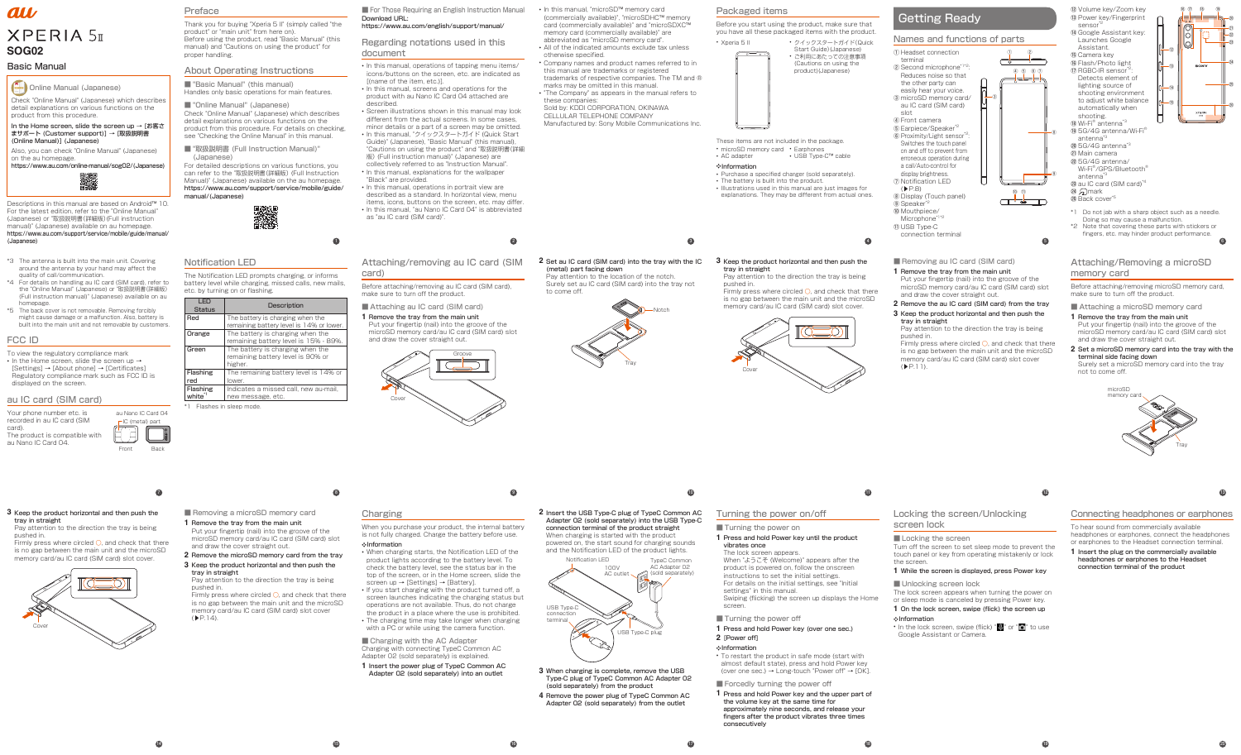# Online Manual (Japanese) Check "Online Manual" (Japanese) which describes

detail explanations on various functions on the product from this procedure.

# au **XPERIA 5 SOG02**

In the Home screen, slide the screen up → [お客さ まサポート (Customer support)] → [取扱説明書 (Online Manual)] (Japanese)

Also, you can check "Online Manual" (Japanese) on the au homepage.

https://www.au.com/online-manual/sog02/(Japanese)



# Basic Manual

Descriptions in this manual are based on Android™ 10. For the latest edition, refer to the "Online Manual" (Japanese) or "取扱説明書(詳細版)(Full instruction manual)" (Japanese) available on au homepage. https://www.au.com/support/service/mobile/guide/manual/ (Japanese))

**7**

• In the Home screen, slide the screen up → [Settings] → [About phone] → [Certificates] Regulatory compliance mark such as FCC ID is displayed on the screen.

pushed in. Firmly press where circled  $\bigcirc$ , and check that there

- \*3 The antenna is built into the main unit. Covering around the antenna by your hand may affect the quality of call/communication.
- \*4 For details on handling au IC card (SIM card), refer to the "Online Manual" (Japanese) or "取扱説明書(詳細版) (Full instruction manual)" (Japanese) available on au homepage.
- \*5 The back cover is not removable. Removing forcibly might cause damage or a malfunction. Also, battery is built into the main unit and not removable by customers.

■ Removing a microSD memory card **1** Remove the tray from the main unit

# FCC ID

To view the regulatory compliance mark

Firmly press where circled O, and check that there is no gap between the main unit and the microSD memory card/au IC card (SIM card) slot cover



■ "Basic Manual" (this manual) Handles only basic operations for main features.

# au IC card (SIM card)

■ "Online Manual" (Japanese) Check "Online Manual" (Japanese) which describes

Your phone number etc. is recorded in au IC card (SIM card).

The product is compatible with au Nano IC Card 04.

■ "取扱説明書 (Full Instruction Manual)" (Japanese)



**14**

#### **3** Keep the product horizontal and then push the tray in straight Pay attention to the direction the tray is being

is no gap between the main unit and the microSD memory card/au IC card (SIM card) slot cover.



Put your fingertip (nail) into the groove of the microSD memory card/au IC card (SIM card) slot

and draw the cover straight out.

The Notification LED prompts charging, or informs battery level while charging, missed calls, new mails, etc. by turning on or flashing.  $\overline{\phantom{0}}$ 

**2** Remove the microSD memory card from the tray **3** Keep the product horizontal and then push the

tray in straight

Pay attention to the direction the tray is being

pushed in.

 $(P.14)$ .

**1**



# Preface

Thank you for buying "Xperia 5 II" (simply called "the product" or "main unit" from here on). Before using the product, read "Basic Manual" (this manual) and "Cautions on using the product" for proper handling.

# About Operating Instructions

■ For Those Requiring an English Instruction Manual • In this manual, "microSD™ memory card Download URL: (https://www.au.com/english/support/manual/)

detail explanations on various functions on the product from this procedure. For details on checking, see "Checking the Online Manual" in this manual.

For detailed descriptions on various functions, you can refer to the "取扱説明書(詳細版) (Full Instruction Manual)" (Japanese) available on the au homepage. https://www.au.com/support/service/mobile/guide/ manual/(Japanese))



**8**

**Charging** 

When you purchase your product, the internal battery is not fully charged. Charge the battery before use.

# Notification LED

■ Charging with the AC Adapter Charging with connecting TypeC Common AC Adapter 02 (sold separately) is explained. **1** Insert the power plug of TypeC Common AC Adapter 02 (sold separately) into an outlet

| .<br><b>Status</b> | <b>Description</b>                       |
|--------------------|------------------------------------------|
| Red                | The battery is charging when the         |
|                    | remaining battery level is 14% or lower. |
| Orange             | The battery is charging when the         |
|                    | remaining battery level is 15% - 89%.    |
| Green              | The battery is charging when the         |
|                    | remaining battery level is 90% or        |
|                    | higher.                                  |
| Flashing           | The remaining battery level is 14% or    |
| red                | lower.                                   |
| Flashing           | Indicates a missed call, new au-mail,    |

white<sup>\*1</sup> new message, etc. Flashes in sleep mode.

**15**

**2**

Regarding notations used in this document

- In this manual, operations of tapping menu items/ icons/buttons on the screen, etc. are indicated as [(name of the item, etc.)].
- In this manual, screens and operations for the product with au Nano IC Card 04 attached are described.
- Screen illustrations shown in this manual may look different from the actual screens. In some cases minor details or a part of a screen may be omitted.
- In this manual, "クイックスタートガイド (Quick Start Guide)" (Japanese), "Basic Manual" (this manual), "Cautions on using the product" and "取扱説明書(詳細 版) (Full instruction manual)" (Japanese) are

collectively referred to as "Instruction Manual". • In this manual, explanations for the wallpaper "Black" are provided.

- In this manual, operations in portrait view are described as a standard. In horizontal view, menu items, icons, buttons on the screen, etc. may differ
- In this manual, "au Nano IC Card 04" is abbreviated as "au IC card (SIM card)".

**9**

Attaching/removing au IC card (SIM

Before attaching/removing au IC card (SIM card), make sure to turn off the product.

■ Attaching au IC card (SIM card)





Put your fingertip (nail) into the groove of the microSD memory card/au IC card (SIM card) slot and draw the cover straight out.



# **2** Set au IC card (SIM card) into the tray with the IC **3** Keep the product horizontal and then push the (metal) part facing down

- Xperia 5 II クイックスタートガイド(Quick Start Guide) (Japanes • ご利用にあたっての注意事項
	- (Cautions on using the product)(Japanese)

Pay attention to the location of the notch. Surely set au IC card (SIM card) into the tray not to come off.



**16**

Firmly press where circled  $\bigcirc$ , and check that there is no gap between the main unit and the microSD memory card/au IC card (SIM card) slot cover.

❖Information

• When charging starts, the Notification LED of the product lights according to the battery level. To check the battery level, see the status bar in the top of the screen, or in the Home screen, slide the

• If you start charging with the product turned off, a screen launches indicating the charging status but operations are not available. Thus, do not charge the product in a place where the use is prohibited. • The charging time may take longer when charging with a PC or while using the camera function.

screen up → [Settings] → [Battery].

**3**

• In the lock screen, swipe (flick) " $\mathbf{Q}$ " or " $\bullet$ " to use Google Assistant or Camera.

(commercially available)", "microSDHC™ memory card (commercially available)" and "microSDXC™ memory card (commercially available)" are abbreviated as "microSD memory card".

- Attaching a microSD memory card
- **1** Remove the tray from the main unit Put your fingertip (nail) into the groove of the microSD memory card/au IC card (SIM card) slot and draw the cover straight out.
- **2** Set a microSD memory card into the tray with the terminal side facing down Surely set a microSD memory card into the tray not to come off.
- All of the indicated amounts exclude tax unless otherwise specified.
- Company names and product names referred to in
- this manual are trademarks or registered trademarks of respective companies. The TM and ®
- marks may be omitted in this manual. • "The Company" as appears in the manual refers to these companies:

Sold by: KDDI CORPORATION, OKINAWA CELLULAR TELEPHONE COMPANY

Manufactured by: Sony Mobile Communications Inc.

**10**

**17** 

Monetting headphones or earphones<br>
To hear sound from commercially available<br>
mode to prevent the<br>
or earphones or earphones, connect the headphones<br>
or earphones to the Headset connection terminal.<br>
1 Insert the plug on t To hear sound from commercially available headphones or earphones, connect the headphones or earphones to the Headset connection terminal.

- sensor<sup>\*</sup> ⑭ Google Assistant key:
- Launches Google Assistant. ⑮ Camera key
- ⑯ Flash/Photo light
- ⑰ RGBC-IR sensor\*2:
- Detects element of lighting source of shooting environment to adjust white balance automatically when shooting.
- ⑱ Wi-Fi® antenna\*3 ⑲ 5G/4G antenna/Wi-Fi® antenna<sup>\*</sup>
- @ 5G/4G antenna<sup>\*3</sup>
- ㉑ Main camera

**2** Insert the USB Type-C plug of TypeC Common AC Adapter 02 (sold separately) into the USB Type-C connection terminal of the product straight When charging is started with the product

powered on, the start sound for charging sounds and the Notification LED of the product lights. 100V TypeC Common AC Adapter 02 Notification LED



# Turning the power on/off

## ■ Turning the power on

## **1** Press and hold Power key until the product vibrates once

- The lock screen appears.
- When "ようこそ (Welcome)" appears after the product is powered on, follow the onscreen
- instructions to set the initial settings.
- For details on the initial settings, see "Initial settings" in this manual.

■ Forcedly turning the power off

- **3** When charging is complete, remove the USB Type-C plug of TypeC Common AC Adapter 02 (sold separately) from the product
- **4** Remove the power plug of TypeC Common AC Adapter 02 (sold separately) from the outlet
- Swiping (flicking) the screen up displays the Home screen. ■ Turning the power off **1** Press and hold Power key (over one sec.) **2** [Power off] ❖Information
- To restart the product in safe mode (start with almost default state), press and hold Power key (over one sec.)  $\rightarrow$  Long-touch "Power off"  $\rightarrow$  [OK].
	- **1** Press and hold Power key and the upper part of the volume key at the same time for approximately nine seconds, and release your fingers after the product vibrates three times consecutively

**4**

# Packaged items

Before you start using the product, make sure that you have all these packaged items with the product.

These items are not included in the package. • microSD memory card • Earphones • USB Type-C™ cable

• AC adapter

# ❖Information

- 
- 

• Purchase a specified charger (sold separately). • The battery is built into the product. • Illustrations used in this manual are just images for explanations. They may be different from actual ones.



# Names and functions of parts

⑧

⑨

①

 $\overline{\phantom{a}}^{\circ}$ 

 $_{\tiny{\textregistered}}$ 

④ ⑤ ⑥ ⑦

⑩ ⑪

┌┬╌╧──┬┐

②

**11**

# tray in straight

Pay attention to the direction the tray is being

pushed in.



- ① Headset connection terminal
- ② Second microphone\*1\*2: Reduces noise so that the other party can easily hear your voice.
- ③ microSD memory card/ au IC card (SIM card) slot ④ Front camera
- ⑤ Earpiece/Speaker\*2
- ⑥ Proximity/Light sensor\*2: Switches the touch panel on and off to prevent from erroneous operation during a call/Auto-control for
- display brightness. ⑦ Notification LED  $(PR)$
- ⑧ Display (Touch panel) **(9)** Speaker\*<sup>2</sup> ⑩ Mouthpiece/
- Microphone<sup>\*</sup>
- ⑪ USB Type-C
- connection terminal
- Removing au IC card (SIM card)
- **1** Remove the tray from the main unit Put your fingertip (nail) into the groove of the microSD memory card/au IC card (SIM card) slot and draw the cover straight out.
- **2** Remove the au IC card (SIM card) from the tray
- **3** Keep the product horizontal and then push the tray in straight

# Locking the screen/Unlocking screen lock

#### ■ Locking the screen

Turn off the screen to set sleep mode to prevent the touch panel or key from operating mistakenly or lock the screen.

# **1** While the screen is displayed, press Power key

■ Unlocking screen lock

The lock screen appears when turning the power on or sleep mode is canceled by pressing Power key.

## **1** On the lock screen, swipe (flick) the screen up

#### ❖Information

**5**

⑥

**12**

Pay attention to the direction the tray is being pushed in.

Firmly press where circled O, and check that there is no gap between the main unit and the microSD memory card/au IC card (SIM card) slot cover  $(P.11)$ .

# Attaching/Removing a microSD memory card

Before attaching/removing microSD memory card, make sure to turn off the product.



**1** Insert the plug on the commercially available headphones or earphones to the Headset connection terminal of the product

**6**



⑯ ⑰ ⑱ ⑲ ⑳ ㉕ ⑫ ⑬ ⑭ ⑮ ㉑ ㉓ ㉔ ㉒ ⑳

- ㉒ 5G/4G antenna/
- Wi-Fi®/GPS/Bluetooth® antenna<sup>\*3</sup>
- ㉓ au IC card (SIM card)\*4
- ㉔ mark
- ㉕ Back cover\*5
- \*1 Do not jab with a sharp object such as a needle.
- Doing so may cause a malfunction. \*2 Note that covering these parts with stickers or
- fingers, etc. may hinder product performance.

**13**